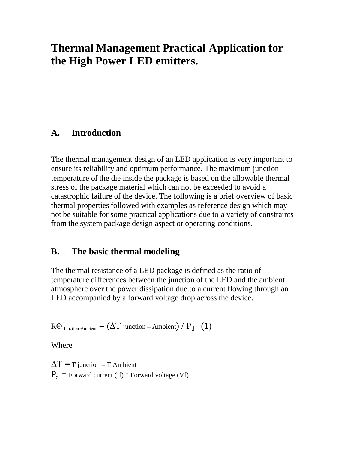# **Thermal Management Practical Application for the High Power LED emitters.**

### **A. Introduction**

The thermal management design of an LED application is very important to ensure its reliability and optimum performance. The maximum junction temperature of the die inside the package is based on the allowable thermal stress of the package material which can not be exceeded to avoid a catastrophic failure of the device. The following is a brief overview of basic thermal properties followed with examples as reference design which may not be suitable for some practical applications due to a variety of constraints from the system package design aspect or operating conditions.

### **B. The basic thermal modeling**

The thermal resistance of a LED package is defined as the ratio of temperature differences between the junction of the LED and the ambient atmosphere over the power dissipation due to a current flowing through an LED accompanied by a forward voltage drop across the device.

 $\text{R}\Theta$  <sub>Junction-Ambient</sub> = ( $\Delta T$  junction – Ambient) /  $\text{P}_{\text{d}}$  (1)

Where

 $\Delta T = T$  junction – T Ambient  $P_d$  = Forward current (If) \* Forward voltage (Vf)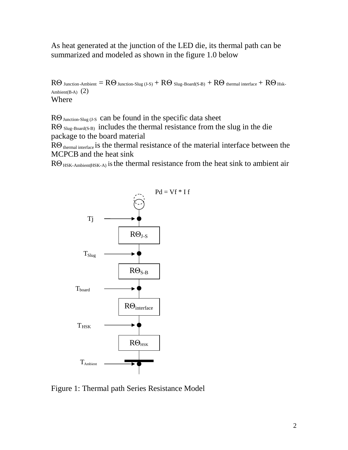As heat generated at the junction of the LED die, its thermal path can be summarized and modeled as shown in the figure 1.0 below

 $R\Theta$  Junction-Ambient  $= R\Theta$  Junction-Slug (J-S)  $+ R\Theta$  Slug-Board(S-B)  $+ R\Theta$  thermal interface  $+ R\Theta$  Hsk-Ambient(B-A)  $(2)$ Where

 $R\Theta$  Junction-Slug (J-S can be found in the specific data sheet

 $R\Theta$  Slug-Board(S-B) includes the thermal resistance from the slug in the die package to the board material

 $R\Theta$ <sub>thermal interface</sub> is the thermal resistance of the material interface between the MCPCB and the heat sink

 $R\Theta_{HSK-Ambient(HSK-A)}$  is the thermal resistance from the heat sink to ambient air



Figure 1: Thermal path Series Resistance Model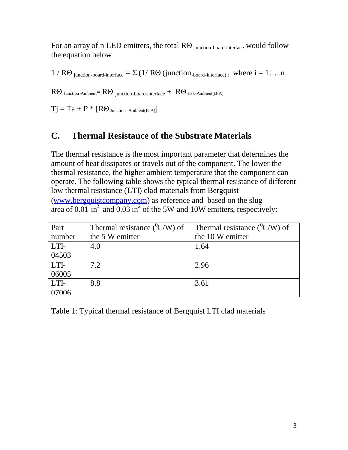For an array of n LED emitters, the total  $R\Theta$  <sub>junction-board-interface</sub> would follow the equation below

1 /  $R\Theta$  junction-board-interface =  $\Sigma$  (1/ $R\Theta$  (junction<sub>-board-interface)</sub> i where i = 1…..n

 $R\Theta$  Junction-Ambient=  $R\Theta$  junction-board-interface +  $R\Theta$  Hsk-Ambient(B-A)

 $Tj = Ta + P$  \*  $[R\Theta_{\text{Junction -Ambient(B-A)}}]$ 

### **C. Thermal Resistance of the Substrate Materials**

The thermal resistance is the most important parameter that determines the amount of heat dissipates or travels out of the component. The lower the thermal resistance, the higher ambient temperature that the component can operate. The following table shows the typical thermal resistance of different low thermal resistance (LTI) clad materials from Bergquist [\(www.bergquistcompany.com\)](http://www.bergquistcompany.com/) as reference and based on the slug area of 0.01 in<sup>2,</sup> and  $\overline{0.03}$  in<sup>2</sup> of the 5W and 10W emitters, respectively:

| Part   | Thermal resistance $(^0C/W)$ of | Thermal resistance ( $\rm{C/W}$ ) of |
|--------|---------------------------------|--------------------------------------|
| number | the 5 W emitter                 | the 10 W emitter                     |
| LTI-   | 4.0                             | 1.64                                 |
| 04503  |                                 |                                      |
| LTI-   | 7.2                             | 2.96                                 |
| 06005  |                                 |                                      |
| LTI-   | 8.8                             | 3.61                                 |
| 07006  |                                 |                                      |

Table 1: Typical thermal resistance of Bergquist LTI clad materials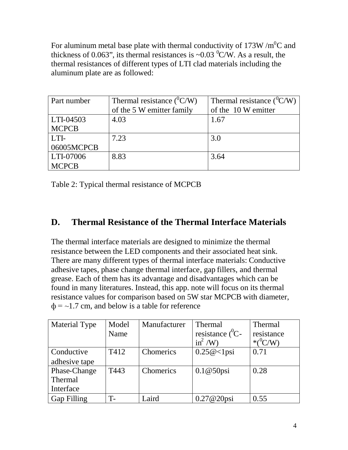For aluminum metal base plate with thermal conductivity of  $173W/m<sup>0</sup>C$  and thickness of 0.063", its thermal resistances is ~0.03  $^0$ C/W. As a result, the thermal resistances of different types of LTI clad materials including the aluminum plate are as followed:

| Part number  | Thermal resistance $(^0C/W)$ | Thermal resistance $(^{0}C/W)$ |  |
|--------------|------------------------------|--------------------------------|--|
|              | of the 5 W emitter family    | of the 10 W emitter            |  |
| LTI-04503    | 4.03                         | 1.67                           |  |
| <b>MCPCB</b> |                              |                                |  |
| LTI-         | 7.23                         | 3.0                            |  |
| 06005MCPCB   |                              |                                |  |
| LTI-07006    | 8.83                         | 3.64                           |  |
| <b>MCPCB</b> |                              |                                |  |

Table 2: Typical thermal resistance of MCPCB

### **D. Thermal Resistance of the Thermal Interface Materials**

The thermal interface materials are designed to minimize the thermal resistance between the LED components and their associated heat sink. There are many different types of thermal interface materials: Conductive adhesive tapes, phase change thermal interface, gap fillers, and thermal grease. Each of them has its advantage and disadvantages which can be found in many literatures. Instead, this app. note will focus on its thermal resistance values for comparison based on 5W star MCPCB with diameter,  $\phi$  = ~1.7 cm, and below is a table for reference

| <b>Material Type</b> | Model<br>Name | Manufacturer | <b>Thermal</b><br>resistance $(^0C -$<br>$\sin^2$ /W | <b>Thermal</b><br>resistance<br>$*(^0C/W)$ |
|----------------------|---------------|--------------|------------------------------------------------------|--------------------------------------------|
| Conductive           | T412          | Chomerics    | $0.25@<1$ psi                                        | 0.71                                       |
| adhesive tape        |               |              |                                                      |                                            |
| Phase-Change         | T443          | Chomerics    | $0.1@50$ psi                                         | 0.28                                       |
| <b>Thermal</b>       |               |              |                                                      |                                            |
| Interface            |               |              |                                                      |                                            |
| <b>Gap Filling</b>   |               | Laird        | $0.27@20$ psi                                        | 0.55                                       |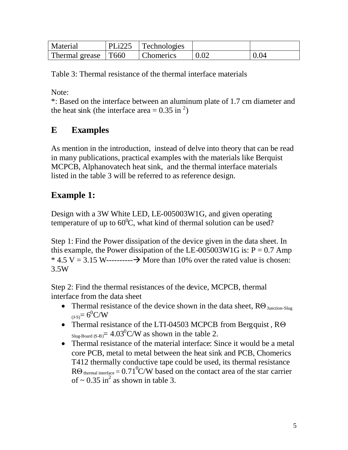| Material              | $ PLi225 $ Technologies |      |
|-----------------------|-------------------------|------|
| Thermal grease   T660 | <b>Chomerics</b>        | 0.04 |

Table 3: Thermal resistance of the thermal interface materials

Note:

\*: Based on the interface between an aluminum plate of 1.7 cm diameter and the heat sink (the interface area =  $0.35$  in <sup>2</sup>)

## **E Examples**

As mention in the introduction, instead of delve into theory that can be read in many publications, practical examples with the materials like Berquist MCPCB, Alphanovatech heat sink, and the thermal interface materials listed in the table 3 will be referred to as reference design.

## **Example 1:**

Design with a 3W White LED, LE-005003W1G, and given operating temperature of up to  $60^{\circ}$ C, what kind of thermal solution can be used?

Step 1: Find the Power dissipation of the device given in the data sheet. In this example, the Power dissipation of the LE-005003W1G is:  $P = 0.7$  Amp  $*$  4.5 V = 3.15 W-----------  $\rightarrow$  More than 10% over the rated value is chosen: 3.5W

Step 2: Find the thermal resistances of the device, MCPCB, thermal interface from the data sheet

- Thermal resistance of the device shown in the data sheet,  $R\Theta_{\text{Junction-Slug}}$  $_{(J-S)}=6^{0}C/W$
- Thermal resistance of the LTI-04503 MCPCB from Bergquist, R $\Theta$ Slug-Board (S-B) =  $4.03^{\circ}$ C/W as shown in the table 2.
- Thermal resistance of the material interface: Since it would be a metal core PCB, metal to metal between the heat sink and PCB, Chomerics T412 thermally conductive tape could be used, its thermal resistance  $R\Theta$  thermal interface = 0.71<sup>0</sup>C/W based on the contact area of the star carrier of  $\sim 0.35$  in<sup>2</sup> as shown in table 3.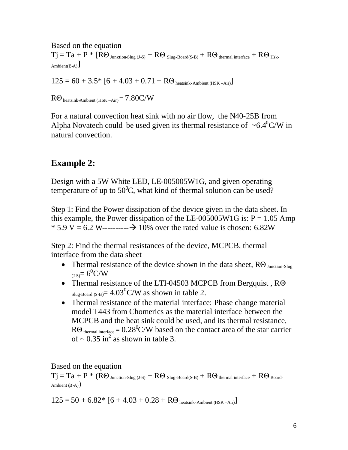Based on the equation  $Tj = Ta + P$  \*  $\tilde{R}\Theta_{Junction-Slug (J-S)} + R\Theta_{Slug-Boad(S-B)} + R\Theta_{thermal interface} + R\Theta_{Hsk-}$ Ambient(B-A) $\big]$ 

 $125 = 60 + 3.5* [6 + 4.03 + 0.71 + R\Theta_{\text{heatsink-Ambient (HSK-Air)}}]$ 

 $R\Theta$  heatsink-Ambient (HSK –Air) =  $7.80C/W$ 

For a natural convection heat sink with no air flow, the N40-25B from Alpha Novatech could be used given its thermal resistance of  $~6.4^{\circ}$ C/W in natural convection.

### **Example 2:**

Design with a 5W White LED, LE-005005W1G, and given operating temperature of up to  $50^0C$ , what kind of thermal solution can be used?

Step 1: Find the Power dissipation of the device given in the data sheet. In this example, the Power dissipation of the LE-005005W1G is:  $P = 1.05$  Amp  $* 5.9 V = 6.2 W$ ---------- $\rightarrow 10\%$  over the rated value is chosen: 6.82W

Step 2: Find the thermal resistances of the device, MCPCB, thermal interface from the data sheet

- Thermal resistance of the device shown in the data sheet,  $R\Theta_{\text{Junction-Slug}}$  $_{(J-S)}=6^{0}C/W$
- Thermal resistance of the LTI-04503 MCPCB from Bergquist , RΘ Slug-Board (S-B)  $= 4.03^{\circ}$ C/W as shown in table 2.
- Thermal resistance of the material interface: Phase change material model T443 from Chomerics as the material interface between the MCPCB and the heat sink could be used, and its thermal resistance,  $R\Theta_{\text{thermal interface}} = 0.28^{\circ}\text{C/W}$  based on the contact area of the star carrier of  $\sim 0.35$  in<sup>2</sup> as shown in table 3.

Based on the equation

 $Tj = Ta + P$  \*  $( R\Theta_{\text{Junction-Slug (J-S)}} + R\Theta_{\text{Slug-Boad(S-B)}} + R\Theta_{\text{thermal interface}} + R\Theta_{\text{Board}})$ Ambient  $(B-A)$ )

 $125 = 50 + 6.82 * [6 + 4.03 + 0.28 + R\Theta_{\text{heatsink-Ambient (HSK-Air)}}]$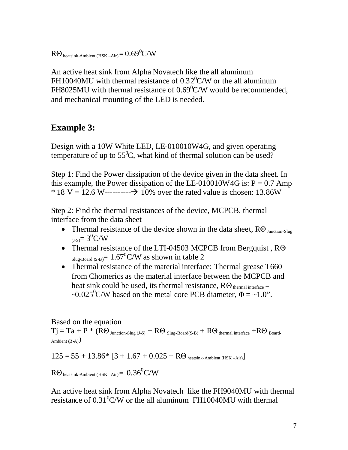$R\Theta$  heatsink-Ambient (HSK –Air)  $= 0.69^0C/W$ 

An active heat sink from Alpha Novatech like the all aluminum FH10040MU with thermal resistance of  $0.32^{\circ}$ C/W or the all aluminum FH8025MU with thermal resistance of  $0.69^{\circ}$ C/W would be recommended, and mechanical mounting of the LED is needed.

### **Example 3:**

Design with a 10W White LED, LE-010010W4G, and given operating temperature of up to  $55^{\circ}$ C, what kind of thermal solution can be used?

Step 1: Find the Power dissipation of the device given in the data sheet. In this example, the Power dissipation of the LE-010010W4G is:  $P = 0.7$  Amp \* 18 V = 12.6 W------------> 10% over the rated value is chosen: 13.86W

Step 2: Find the thermal resistances of the device, MCPCB, thermal interface from the data sheet

- Thermal resistance of the device shown in the data sheet,  $R\Theta_{\text{Junction-Slug}}$  $_{(J-S)}=3^{0}C/W$
- Thermal resistance of the LTI-04503 MCPCB from Bergquist , RΘ  $_{\text{Slug-Board (S-B)}} = 1.67^0$ C/W as shown in table 2
- Thermal resistance of the material interface: Thermal grease T660 from Chomerics as the material interface between the MCPCB and heat sink could be used, its thermal resistance,  $R\Theta$  thermal interface = ~0.025<sup>0</sup>C/W based on the metal core PCB diameter,  $\Phi = \sim 1.0$ ".

### Based on the equation

 $Tj = Ta + P$  \*  $( R\Theta_{Junction-Slug (J-S)} + R\Theta_{Slug-Boad(S-B)} + R\Theta_{thermal interface} + R\Theta_{Board}$ Ambient  $(B-A)$ )

$$
125 = 55 + 13.86 * [3 + 1.67 + 0.025 + R\Theta_{\text{heatsink-Ambient (HSK-Air)}}]
$$

 $R\Theta$  heatsink-Ambient (HSK –Air) =  $0.36^0$ C/W

An active heat sink from Alpha Novatech like the FH9040MU with thermal resistance of  $0.31<sup>0</sup>C/W$  or the all aluminum FH10040MU with thermal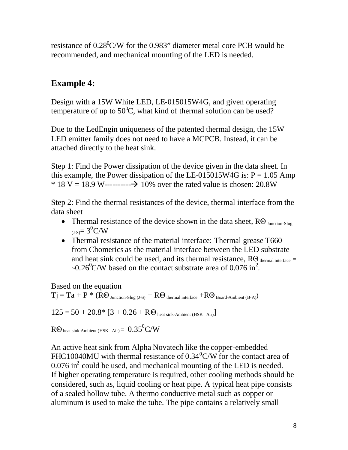resistance of  $0.28^{\circ}$ C/W for the 0.983" diameter metal core PCB would be recommended, and mechanical mounting of the LED is needed.

## **Example 4:**

Design with a 15W White LED, LE-015015W4G, and given operating temperature of up to  $50^{\circ}$ C, what kind of thermal solution can be used?

Due to the LedEngin uniqueness of the patented thermal design, the 15W LED emitter family does not need to have a MCPCB. Instead, it can be attached directly to the heat sink.

Step 1: Find the Power dissipation of the device given in the data sheet. In this example, the Power dissipation of the LE-015015W4G is:  $P = 1.05$  Amp \* 18 V = 18.9 W------------> 10% over the rated value is chosen:  $20.8W$ 

Step 2: Find the thermal resistances of the device, thermal interface from the data sheet

- Thermal resistance of the device shown in the data sheet,  $R\Theta_{\text{Inaction-Slug}}$  $_{(J-S)} = 3^{0}C/W$
- Thermal resistance of the material interface: Thermal grease T660 from Chomerics as the material interface between the LED substrate and heat sink could be used, and its thermal resistance,  $R\Theta$  thermal interface =  $\sim 0.26^{\circ}$ C/W based on the contact substrate area of 0.076 in<sup>2</sup>.

Based on the equation

 $Tj = Ta + P * (R\Theta_{Junction-Slug (J-S)} + R\Theta_{thermal interface} + R\Theta_{Board-Ambient (B-A)})$ 

 $125 = 50 + 20.8* [3 + 0.26 + R\Theta_{\text{heat sink-Ambient (HSK-Air)}}]$ 

 $R\Theta$  heat sink-Ambient (HSK –Air) $= 0.35^0$ C/W

An active heat sink from Alpha Novatech like the copper-embedded FHC10040MU with thermal resistance of  $0.34^{\circ}$ C/W for the contact area of  $0.076$  in<sup>2</sup> could be used, and mechanical mounting of the LED is needed. If higher operating temperature is required, other cooling methods should be considered, such as, liquid cooling or heat pipe. A typical heat pipe consists of a sealed hollow tube. A thermo conductive metal such as copper or aluminum is used to make the tube. The pipe contains a relatively small